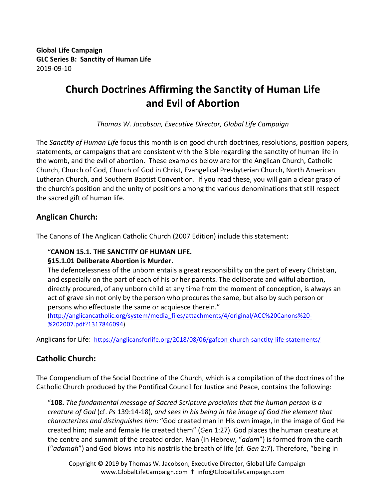**Global Life Campaign GLC Series B: Sanctity of Human Life**  2019-09-10

# **Church Doctrines Affirming the Sanctity of Human Life and Evil of Abortion**

*Thomas W. Jacobson, Executive Director, Global Life Campaign*

The *Sanctity of Human Life* focus this month is on good church doctrines, resolutions, position papers, statements, or campaigns that are consistent with the Bible regarding the sanctity of human life in the womb, and the evil of abortion. These examples below are for the Anglican Church, Catholic Church, Church of God, Church of God in Christ, Evangelical Presbyterian Church, North American Lutheran Church, and Southern Baptist Convention. If you read these, you will gain a clear grasp of the church's position and the unity of positions among the various denominations that still respect the sacred gift of human life.

## **Anglican Church:**

The Canons of The Anglican Catholic Church (2007 Edition) include this statement:

#### "**CANON 15.1. THE SANCTITY OF HUMAN LIFE.**

#### **§15.1.01 Deliberate Abortion is Murder.**

The defencelessness of the unborn entails a great responsibility on the part of every Christian, and especially on the part of each of his or her parents. The deliberate and wilful abortion, directly procured, of any unborn child at any time from the moment of conception, is always an act of grave sin not only by the person who procures the same, but also by such person or persons who effectuate the same or acquiesce therein."

(http://anglicancatholic.org/system/media\_files/attachments/4/original/ACC%20Canons%20- %202007.pdf?1317846094)

Anglicans for Life: https://anglicansforlife.org/2018/08/06/gafcon-church-sanctity-life-statements/

### **Catholic Church:**

The Compendium of the Social Doctrine of the Church, which is a compilation of the doctrines of the Catholic Church produced by the Pontifical Council for Justice and Peace, contains the following:

"**108.** The fundamental message of Sacred Scripture proclaims that the human person is a *creature of God* (cf. Ps 139:14-18), and sees in his being in the image of God the element that *characterizes and distinguishes him*: "God created man in His own image, in the image of God He created him; male and female He created them" (*Gen* 1:27). God places the human creature at the centre and summit of the created order. Man (in Hebrew, "*adam*") is formed from the earth ("*adamah*") and God blows into his nostrils the breath of life (cf. *Gen* 2:7). Therefore, "being in

Copyright  $©$  2019 by Thomas W. Jacobson, Executive Director, Global Life Campaign www.GlobalLifeCampaign.com **t** info@GlobalLifeCampaign.com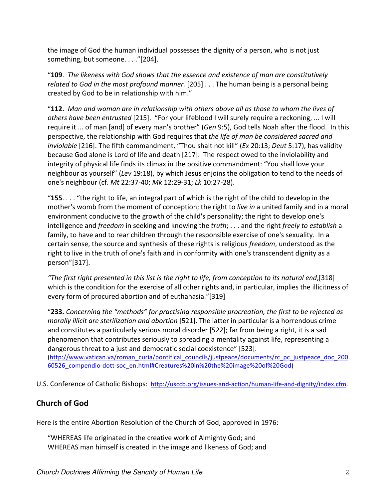the image of God the human individual possesses the dignity of a person, who is not just something, but someone. . . ."[204].

"109. The likeness with God shows that the essence and existence of man are constitutively *related to God in the most profound manner.* [205] . . . The human being is a personal being created by God to be in relationship with him."

"112. Man and woman are in relationship with others above all as those to whom the lives of others have been entrusted [215]. "For your lifeblood I will surely require a reckoning, ... I will require it ... of man [and] of every man's brother" (*Gen* 9:5), God tells Noah after the flood. In this perspective, the relationship with God requires that *the life of man be considered sacred and inviolable* [216]. The fifth commandment, "Thou shalt not kill" (*Ex* 20:13; *Deut* 5:17), has validity because God alone is Lord of life and death [217]. The respect owed to the inviolability and integrity of physical life finds its climax in the positive commandment: "You shall love your neighbour as yourself" (Lev 19:18), by which Jesus enjoins the obligation to tend to the needs of one's neighbour (cf. *Mt* 22:37-40; *Mk* 12:29-31; *Lk* 10:27-28). 

"**155**.... "the right to life, an integral part of which is the right of the child to develop in the mother's womb from the moment of conception; the right to *live in* a united family and in a moral environment conducive to the growth of the child's personality; the right to develop one's intelligence and *freedom* in seeking and knowing the *truth*; ... and the right *freely to establish* a family, to have and to rear children through the responsible exercise of one's sexuality. In a certain sense, the source and synthesis of these rights is religious *freedom*, understood as the right to live in the truth of one's faith and in conformity with one's transcendent dignity as a person"[317].

*"The first right presented in this list is the right to life, from conception to its natural end*,[318] which is the condition for the exercise of all other rights and, in particular, implies the illicitness of every form of procured abortion and of euthanasia."[319]

"233. Concerning the "methods" for practising responsible procreation, the first to be rejected as *morally illicit are sterilization and abortion* [521]. The latter in particular is a horrendous crime and constitutes a particularly serious moral disorder [522]; far from being a right, it is a sad phenomenon that contributes seriously to spreading a mentality against life, representing a dangerous threat to a just and democratic social coexistence" [523]. (http://www.vatican.va/roman\_curia/pontifical\_councils/justpeace/documents/rc\_pc\_justpeace\_doc\_200

60526\_compendio-dott-soc\_en.html#Creatures%20in%20the%20image%20of%20God)

U.S. Conference of Catholic Bishops: http://usccb.org/issues-and-action/human-life-and-dignity/index.cfm.

# **Church of God**

Here is the entire Abortion Resolution of the Church of God, approved in 1976:

"WHEREAS life originated in the creative work of Almighty God; and WHEREAS man himself is created in the image and likeness of God; and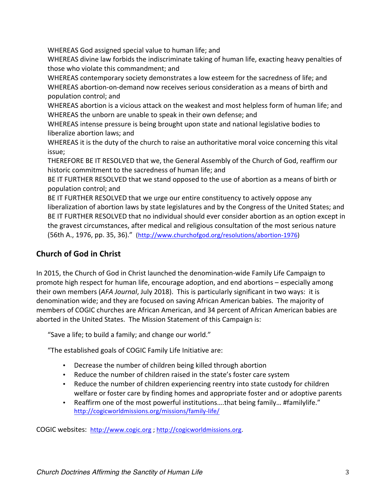WHEREAS God assigned special value to human life; and

WHEREAS divine law forbids the indiscriminate taking of human life, exacting heavy penalties of those who violate this commandment; and

WHEREAS contemporary society demonstrates a low esteem for the sacredness of life; and WHEREAS abortion-on-demand now receives serious consideration as a means of birth and population control; and

WHEREAS abortion is a vicious attack on the weakest and most helpless form of human life; and WHEREAS the unborn are unable to speak in their own defense; and

WHEREAS intense pressure is being brought upon state and national legislative bodies to liberalize abortion laws; and

WHEREAS it is the duty of the church to raise an authoritative moral voice concerning this vital issue;

THEREFORE BE IT RESOLVED that we, the General Assembly of the Church of God, reaffirm our historic commitment to the sacredness of human life; and

BE IT FURTHER RESOLVED that we stand opposed to the use of abortion as a means of birth or population control; and

BE IT FURTHER RESOLVED that we urge our entire constituency to actively oppose any liberalization of abortion laws by state legislatures and by the Congress of the United States; and BE IT FURTHER RESOLVED that no individual should ever consider abortion as an option except in the gravest circumstances, after medical and religious consultation of the most serious nature (56th A., 1976, pp. 35, 36)." (http://www.churchofgod.org/resolutions/abortion-1976)

# **Church of God in Christ**

In 2015, the Church of God in Christ launched the denomination-wide Family Life Campaign to promote high respect for human life, encourage adoption, and end abortions – especially among their own members (*AFA Journal*, July 2018). This is particularly significant in two ways: it is denomination wide; and they are focused on saving African American babies. The majority of members of COGIC churches are African American, and 34 percent of African American babies are aborted in the United States. The Mission Statement of this Campaign is:

"Save a life; to build a family; and change our world."

"The established goals of COGIC Family Life Initiative are:

- Decrease the number of children being killed through abortion
- Reduce the number of children raised in the state's foster care system
- Reduce the number of children experiencing reentry into state custody for children welfare or foster care by finding homes and appropriate foster and or adoptive parents
- Reaffirm one of the most powerful institutions....that being family... #familylife." http://cogicworldmissions.org/missions/family-life/

COGIC websites: http://www.cogic.org ; http://cogicworldmissions.org.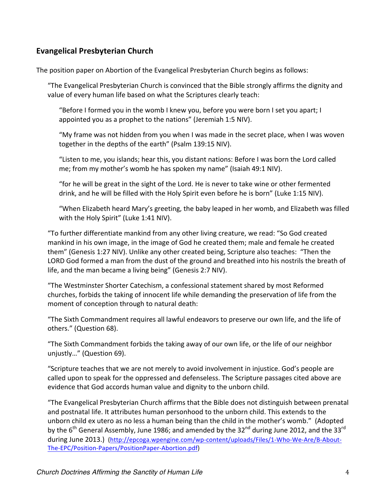## **Evangelical Presbyterian Church**

The position paper on Abortion of the Evangelical Presbyterian Church begins as follows:

"The Evangelical Presbyterian Church is convinced that the Bible strongly affirms the dignity and value of every human life based on what the Scriptures clearly teach:

"Before I formed you in the womb I knew you, before you were born I set you apart; I appointed you as a prophet to the nations" (Jeremiah 1:5 NIV).

"My frame was not hidden from you when I was made in the secret place, when I was woven together in the depths of the earth" (Psalm 139:15 NIV).

"Listen to me, you islands; hear this, you distant nations: Before I was born the Lord called me; from my mother's womb he has spoken my name" (Isaiah 49:1 NIV).

"for he will be great in the sight of the Lord. He is never to take wine or other fermented drink, and he will be filled with the Holy Spirit even before he is born" (Luke 1:15 NIV).

"When Elizabeth heard Mary's greeting, the baby leaped in her womb, and Elizabeth was filled with the Holy Spirit" (Luke 1:41 NIV).

"To further differentiate mankind from any other living creature, we read: "So God created mankind in his own image, in the image of God he created them; male and female he created them" (Genesis 1:27 NIV). Unlike any other created being, Scripture also teaches: "Then the LORD God formed a man from the dust of the ground and breathed into his nostrils the breath of life, and the man became a living being" (Genesis 2:7 NIV).

"The Westminster Shorter Catechism, a confessional statement shared by most Reformed churches, forbids the taking of innocent life while demanding the preservation of life from the moment of conception through to natural death:

"The Sixth Commandment requires all lawful endeavors to preserve our own life, and the life of others." (Question 68).

"The Sixth Commandment forbids the taking away of our own life, or the life of our neighbor unjustly..." (Question 69).

"Scripture teaches that we are not merely to avoid involvement in injustice. God's people are called upon to speak for the oppressed and defenseless. The Scripture passages cited above are evidence that God accords human value and dignity to the unborn child.

"The Evangelical Presbyterian Church affirms that the Bible does not distinguish between prenatal and postnatal life. It attributes human personhood to the unborn child. This extends to the unborn child ex utero as no less a human being than the child in the mother's womb." (Adopted by the  $6<sup>th</sup>$  General Assembly, June 1986; and amended by the 32 $<sup>nd</sup>$  during June 2012, and the 33 $<sup>rd</sup>$ </sup></sup> during June 2013.) (http://epcoga.wpengine.com/wp-content/uploads/Files/1-Who-We-Are/B-About-The-EPC/Position-Papers/PositionPaper-Abortion.pdf)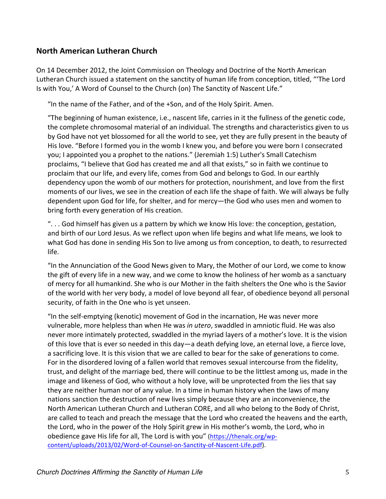### **North American Lutheran Church**

On 14 December 2012, the Joint Commission on Theology and Doctrine of the North American Lutheran Church issued a statement on the sanctity of human life from conception, titled, "'The Lord Is with You,' A Word of Counsel to the Church (on) The Sanctity of Nascent Life."

"In the name of the Father, and of the +Son, and of the Holy Spirit. Amen.

"The beginning of human existence, i.e., nascent life, carries in it the fullness of the genetic code, the complete chromosomal material of an individual. The strengths and characteristics given to us by God have not yet blossomed for all the world to see, yet they are fully present in the beauty of His love. "Before I formed you in the womb I knew you, and before you were born I consecrated you; I appointed you a prophet to the nations." (Jeremiah 1:5) Luther's Small Catechism proclaims, "I believe that God has created me and all that exists," so in faith we continue to proclaim that our life, and every life, comes from God and belongs to God. In our earthly dependency upon the womb of our mothers for protection, nourishment, and love from the first moments of our lives, we see in the creation of each life the shape of faith. We will always be fully dependent upon God for life, for shelter, and for mercy—the God who uses men and women to bring forth every generation of His creation.

"... God himself has given us a pattern by which we know His love: the conception, gestation, and birth of our Lord Jesus. As we reflect upon when life begins and what life means, we look to what God has done in sending His Son to live among us from conception, to death, to resurrected life. 

"In the Annunciation of the Good News given to Mary, the Mother of our Lord, we come to know the gift of every life in a new way, and we come to know the holiness of her womb as a sanctuary of mercy for all humankind. She who is our Mother in the faith shelters the One who is the Savior of the world with her very body, a model of love beyond all fear, of obedience beyond all personal security, of faith in the One who is yet unseen.

"In the self-emptying (kenotic) movement of God in the incarnation, He was never more vulnerable, more helpless than when He was *in utero*, swaddled in amniotic fluid. He was also never more intimately protected, swaddled in the myriad layers of a mother's love. It is the vision of this love that is ever so needed in this day—a death defying love, an eternal love, a fierce love, a sacrificing love. It is this vision that we are called to bear for the sake of generations to come. For in the disordered loving of a fallen world that removes sexual intercourse from the fidelity, trust, and delight of the marriage bed, there will continue to be the littlest among us, made in the image and likeness of God, who without a holy love, will be unprotected from the lies that say they are neither human nor of any value. In a time in human history when the laws of many nations sanction the destruction of new lives simply because they are an inconvenience, the North American Lutheran Church and Lutheran CORE, and all who belong to the Body of Christ, are called to teach and preach the message that the Lord who created the heavens and the earth, the Lord, who in the power of the Holy Spirit grew in His mother's womb, the Lord, who in obedience gave His life for all, The Lord is with you" (https://thenalc.org/wpcontent/uploads/2013/02/Word-of-Counsel-on-Sanctity-of-Nascent-Life.pdf).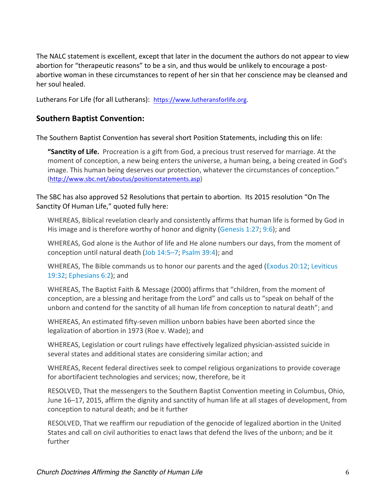The NALC statement is excellent, except that later in the document the authors do not appear to view abortion for "therapeutic reasons" to be a sin, and thus would be unlikely to encourage a postabortive woman in these circumstances to repent of her sin that her conscience may be cleansed and her soul healed.

Lutherans For Life (for all Lutherans): https://www.lutheransforlife.org.

## **Southern Baptist Convention:**

The Southern Baptist Convention has several short Position Statements, including this on life:

**"Sanctity of Life.** Procreation is a gift from God, a precious trust reserved for marriage. At the moment of conception, a new being enters the universe, a human being, a being created in God's image. This human being deserves our protection, whatever the circumstances of conception." (http://www.sbc.net/aboutus/positionstatements.asp)

#### The SBC has also approved 52 Resolutions that pertain to abortion. Its 2015 resolution "On The Sanctity Of Human Life," quoted fully here:

WHEREAS, Biblical revelation clearly and consistently affirms that human life is formed by God in His image and is therefore worthy of honor and dignity (Genesis 1:27; 9:6); and

WHEREAS, God alone is the Author of life and He alone numbers our days, from the moment of conception until natural death (Job 14:5–7; Psalm 39:4); and

WHEREAS, The Bible commands us to honor our parents and the aged (Exodus 20:12; Leviticus 19:32; Ephesians 6:2); and

WHEREAS, The Baptist Faith & Message (2000) affirms that "children, from the moment of conception, are a blessing and heritage from the Lord" and calls us to "speak on behalf of the unborn and contend for the sanctity of all human life from conception to natural death"; and

WHEREAS, An estimated fifty-seven million unborn babies have been aborted since the legalization of abortion in 1973 (Roe v. Wade); and

WHEREAS, Legislation or court rulings have effectively legalized physician-assisted suicide in several states and additional states are considering similar action; and

WHEREAS, Recent federal directives seek to compel religious organizations to provide coverage for abortifacient technologies and services; now, therefore, be it

RESOLVED, That the messengers to the Southern Baptist Convention meeting in Columbus, Ohio, June 16–17, 2015, affirm the dignity and sanctity of human life at all stages of development, from conception to natural death; and be it further

RESOLVED, That we reaffirm our repudiation of the genocide of legalized abortion in the United States and call on civil authorities to enact laws that defend the lives of the unborn; and be it further